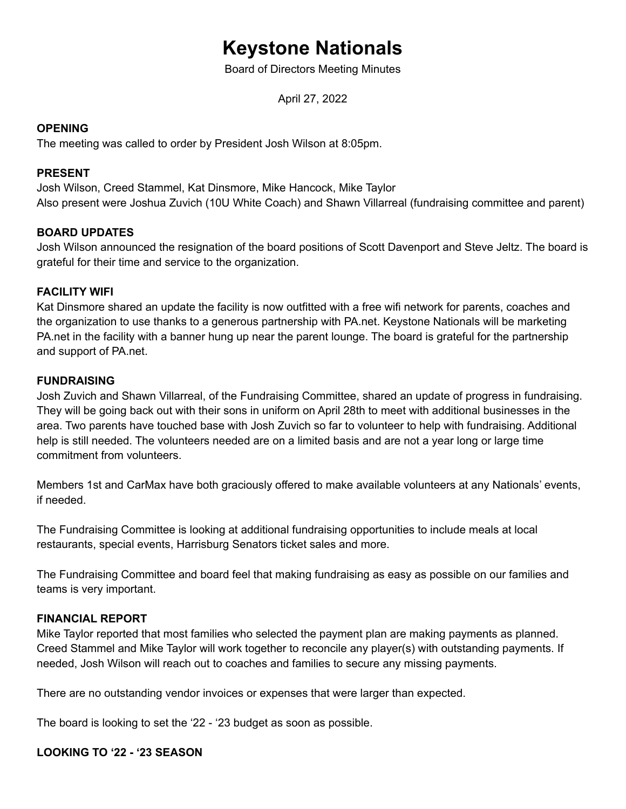# **Keystone Nationals**

Board of Directors Meeting Minutes

April 27, 2022

# **OPENING**

The meeting was called to order by President Josh Wilson at 8:05pm.

#### **PRESENT**

Josh Wilson, Creed Stammel, Kat Dinsmore, Mike Hancock, Mike Taylor Also present were Joshua Zuvich (10U White Coach) and Shawn Villarreal (fundraising committee and parent)

# **BOARD UPDATES**

Josh Wilson announced the resignation of the board positions of Scott Davenport and Steve Jeltz. The board is grateful for their time and service to the organization.

#### **FACILITY WIFI**

Kat Dinsmore shared an update the facility is now outfitted with a free wifi network for parents, coaches and the organization to use thanks to a generous partnership with PA.net. Keystone Nationals will be marketing PA.net in the facility with a banner hung up near the parent lounge. The board is grateful for the partnership and support of PA.net.

#### **FUNDRAISING**

Josh Zuvich and Shawn Villarreal, of the Fundraising Committee, shared an update of progress in fundraising. They will be going back out with their sons in uniform on April 28th to meet with additional businesses in the area. Two parents have touched base with Josh Zuvich so far to volunteer to help with fundraising. Additional help is still needed. The volunteers needed are on a limited basis and are not a year long or large time commitment from volunteers.

Members 1st and CarMax have both graciously offered to make available volunteers at any Nationals' events, if needed.

The Fundraising Committee is looking at additional fundraising opportunities to include meals at local restaurants, special events, Harrisburg Senators ticket sales and more.

The Fundraising Committee and board feel that making fundraising as easy as possible on our families and teams is very important.

# **FINANCIAL REPORT**

Mike Taylor reported that most families who selected the payment plan are making payments as planned. Creed Stammel and Mike Taylor will work together to reconcile any player(s) with outstanding payments. If needed, Josh Wilson will reach out to coaches and families to secure any missing payments.

There are no outstanding vendor invoices or expenses that were larger than expected.

The board is looking to set the '22 - '23 budget as soon as possible.

# **LOOKING TO '22 - '23 SEASON**